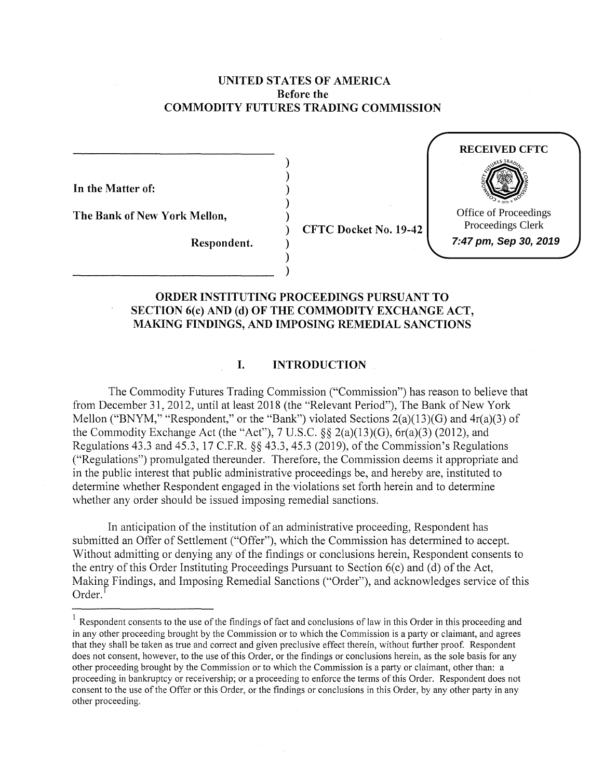### **UNITED STATES OF AMERICA Before the COMMODITY FUTURES TRADING COMMISSION**

) ) ) ) )

) ) )

**In the Matter of:** 

**The Bank of New York Mellon,** 

**Respondent.** 

) **CFTC Docket No. 19-42** 



## **ORDER INSTITUTING PROCEEDINGS PURSUANT TO SECTION 6(c) AND (d) OF THE COMMODITY EXCHANGE ACT, MAKING FINDINGS, AND IMPOSING REMEDIAL SANCTIONS**

### **I. INTRODUCTION**

The Commodity Futures Trading Commission ("Commission") has reason to believe that from December 31, 2012, until at least 2018 (the "Relevant Period"), The Bank of New York Mellon ("BNYM," "Respondent," or the "Bank") violated Sections  $2(a)(13)(G)$  and  $4r(a)(3)$  of the Commodity Exchange Act (the "Act"),  $7 \text{ U.S.C.}$   $\S § 2(a)(13)(G)$ ,  $6r(a)(3)$  (2012), and Regulations 43.3 and 45.3, 17 C.F.R. §§ 43.3, 45.3 (2019), of the Commission's Regulations ("Regulations") promulgated thereunder. Therefore, the Commission deems it appropriate and in the public interest that public administrative proceedings be, and hereby are, instituted to determine whether Respondent engaged in the violations set forth herein and to determine whether any order should be issued imposing remedial sanctions.

In anticipation of the institution of an administrative proceeding, Respondent has submitted an Offer of Settlement ("Offer"), which the Commission has determined to accept. Without admitting or denying any of the findings or conclusions herein, Respondent consents to the entry of this Order Instituting Proceedings Pursuant to Section  $6(c)$  and  $(d)$  of the Act, Making Findings, and Imposing Remedial Sanctions ("Order"), and acknowledges service of this  $Order.<sup>1</sup>$ 

 $1$  Respondent consents to the use of the findings of fact and conclusions of law in this Order in this proceeding and in any other proceeding brought by the Commission or to which the Commission is a party or claimant, and agrees that they shall be taken as true and correct and given preclusive effect therein, without further proof. Respondent does not consent, however, to the use of this Order, or the findings or conclusions herein, as the sole basis for any other proceeding brought by the Commission or to which the Commission is a party or claimant, other than: a proceeding in bankruptcy or receivership; or a proceeding to enforce the terms of this Order. Respondent does not consent to the use of the Offer or this Order, or the findings or conclusions in this Order, by any other party in any other proceeding.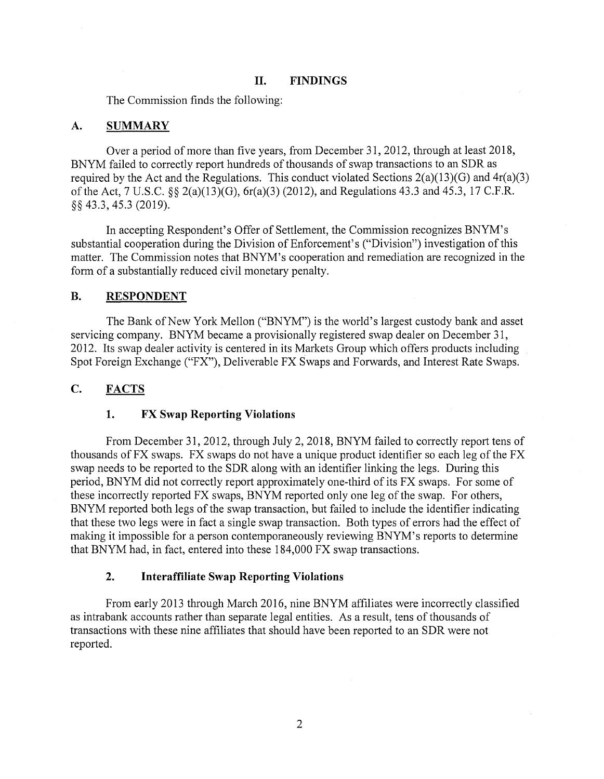#### **II. FINDINGS**

The Commission finds the following:

#### **A. SUMMARY**

Over a period of more than five years, from December 31, 2012, through at least 2018, BNYM failed to correctly report hundreds of thousands of swap transactions to an SDR as required by the Act and the Regulations. This conduct violated Sections  $2(a)(13)(G)$  and  $4r(a)(3)$ of the Act, 7 U.S.C. §§ 2(a)(l3)(G), 6r(a)(3) (2012), and Regulations 43.3 and 45.3, 17 C.F.R. §§ 43.3, 45.3 (2019).

In accepting Respondent's Offer of Settlement, the Commission recognizes BNYM's substantial cooperation during the Division of Enforcement's ("Division") investigation of this matter. The Commission notes that BNYM's cooperation and remediation are recognized in the form of a substantially reduced civil monetary penalty.

#### **B. RESPONDENT**

The Bank of New York Mellon ("BNYM") is the world's largest custody bank and asset servicing company. BNYM became a provisionally registered swap dealer on December 31, 2012. Its swap dealer activity is centered in its Markets Group which offers products including Spot Foreign Exchange ("FX"), Deliverable FX Swaps and Forwards, and Interest Rate Swaps.

#### **C. FACTS**

#### **1. FX Swap Reporting Violations**

From December 31, 2012, through July 2, 2018, BNYM failed to correctly report tens of thousands of FX swaps. FX swaps do not have a unique product identifier so each leg of the FX swap needs to be reported to the SDR along with an identifier linking the legs. During this period, BNYM did not correctly report approximately one-third of its FX swaps. For some of these incorrectly reported FX swaps, BNYM reported only one leg of the swap. For others, BNYM reported both legs of the swap transaction, but failed to include the identifier indicating that these two legs were in fact a single swap transaction. Both types of errors had the effect of making it impossible for a person contemporaneously reviewing BNYM's reports to determine that BNYM had, in fact, entered into these 184,000 FX swap transactions.

#### **2. Interaffiliate Swap Reporting Violations**

From early 2013 through March 2016, nine BNYM affiliates were incorrectly classified as intrabank accounts rather than separate legal entities. As a result, tens of thousands of transactions with these nine affiliates that should have been reported to an SDR were not reported.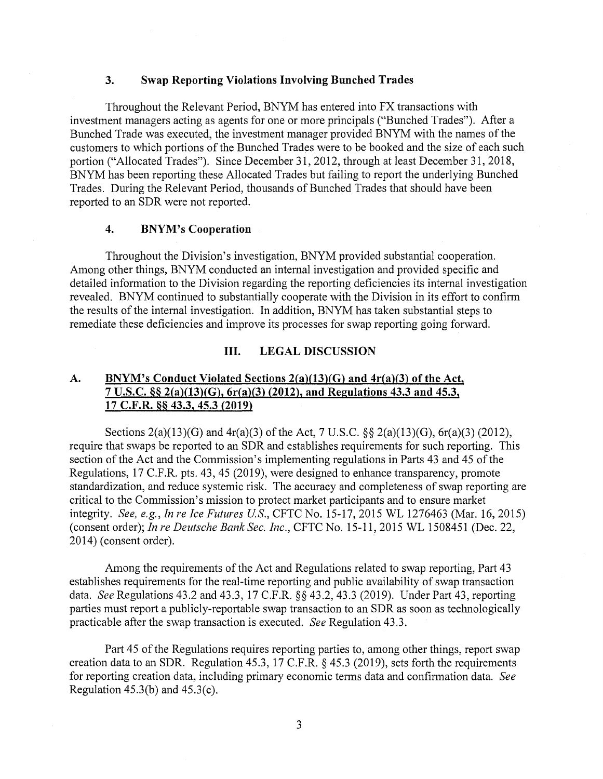#### **3. Swap Reporting Violations Involving Bunched Trades**

Throughout the Relevant Period, BNYM has entered into FX transactions with investment managers acting as agents for one or more principals ("Bunched Trades"). After a Bunched Trade was executed, the investment manager provided BNYM with the names of the customers to which portions of the Bunched Trades were to be booked and the size of each such portion ("Allocated Trades"). Since December 31, 2012, through at least December 31, 2018, BNYM has been reporting these Allocated Trades but failing to report the underlying Bunched Trades. During the Relevant Period, thousands of Bunched Trades that should have been reported to an SDR were not reported.

#### **4. BNYM's Cooperation**

Throughout the Division's investigation, BNYM provided substantial cooperation. Among other things, BNYM conducted an internal investigation and provided specific and detailed information to the Division regarding the reporting deficiencies its internal investigation revealed. BNYM continued to substantially cooperate with the Division in its effort to confirm the results of the internal investigation. In addition, BNYM has taken substantial steps to remediate these deficiencies and improve its processes for swap reporting going forward.

#### **III. LEGAL DISCUSSION**

## **A. BNYM's Conduct Violated Sections 2(a)(13)(G) and 4r(a)(3) of the Act, 7 U.S.C. §§ 2(a)(13)(G), 6r(a)(3) (2012), and Regulations 43.3 and 45.3, 17 C.F.R. §§ 43.3, 45.3 (2019)**

Sections 2(a)(13)(G) and 4r(a)(3) of the Act, 7 U.S.C. §§ 2(a)(13)(G), 6r(a)(3) (2012), require that swaps be reported to an SDR and establishes requirements for such reporting. This section of the Act and the Commission's implementing regulations in Parts 43 and 45 of the Regulations, 17 C.F.R. pts. 43, 45 (2019), were designed to enhance transparency, promote standardization, and reduce systemic risk. The accuracy and completeness of swap reporting are critical to the Commission's mission to protect market participants and to ensure market integrity. *See, e.g., In re Ice Futures US.,* CFTC No. 15-17, 2015 WL 1276463 (Mar. 16, 2015) (consent order); *In re Deutsche Bank Sec. Inc.,* CFTC No. 15-11, 2015 WL 1508451 (Dec. 22, 2014) (consent order).

Among the requirements of the Act and Regulations related to swap reporting, Part 43 establishes requirements for the real-time reporting and public availability of swap transaction data. *See* Regulations 43.2 and 43.3, 17 C.F.R. §§ 43.2, 43.3 (2019). Under Part 43, reporting parties must report a publicly-reportable swap transaction to an SDR as soon as technologically practicable after the swap transaction is executed. *See* Regulation 43.3.

Part 45 of the Regulations requires reporting parties to, among other things, report swap creation data to an SDR. Regulation 45.3, 17 C.F.R. § 45.3 (2019), sets forth the requirements for reporting creation data, including primary economic terms data and confirmation data. *See*  Regulation  $45.3(b)$  and  $45.3(c)$ .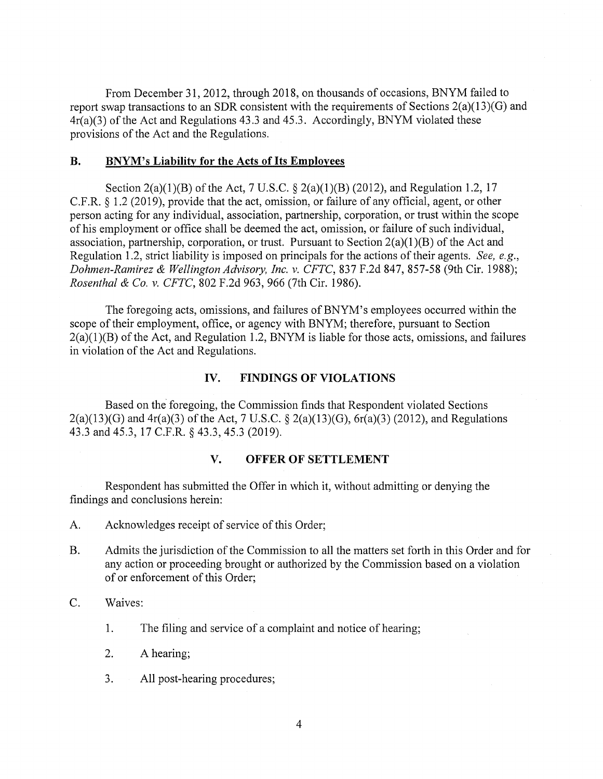From December 31, 2012, through 2018, on thousands of occasions, BNYM failed to report swap transactions to an SDR consistent with the requirements of Sections 2(a)(13)(G) and  $4r(a)(3)$  of the Act and Regulations 43.3 and 45.3. Accordingly, BNYM violated these provisions of the Act and the Regulations.

#### **B. BNYM's Liability for the Acts of Its Employees**

Section 2(a)(1)(B) of the Act, 7 U.S.C. § 2(a)(1)(B) (2012), and Regulation 1.2, 17 C.F .R. § 1.2 (2019), provide that the act, omission, or failure of any official, agent, or other person acting for any individual, association, partnership, corporation, or trust within the scope of his employment or office shall be deemed the act, omission, or failure of such individual, association, partnership, corporation, or trust. Pursuant to Section  $2(a)(1)(B)$  of the Act and Regulation 1.2, strict liability is imposed on principals for the actions of their agents. *See, e.g., Dahmen-Ramirez & Wellington Advisory, Inc. v. CFTC,* 837 F.2d 847, 857-58 (9th Cir. 1988); *Rosenthal & Co. v. CFTC,* 802 F.2d 963, 966 (7th Cir. 1986).

The foregoing acts, omissions, and failures of BNYM's employees occurred within the scope of their employment, office, or agency with BNYM; therefore, pursuant to Section  $2(a)(1)(B)$  of the Act, and Regulation 1.2, BNYM is liable for those acts, omissions, and failures in violation of the Act and Regulations.

### **IV. FINDINGS OF VIOLATIONS**

Based on the foregoing, the Commission finds that Respondent violated Sections  $2(a)(13)(G)$  and  $4r(a)(3)$  of the Act, 7 U.S.C. §  $2(a)(13)(G)$ ,  $6r(a)(3)$  (2012), and Regulations 43.3 and 45.3, 17 C.F.R. § 43.3, 45.3 (2019).

### **V. OFFER OF SETTLEMENT**

Respondent has submitted the Offer in which it, without admitting or denying the findings and conclusions herein:

- A. Acknowledges receipt of service of this Order;
- B. Admits the jurisdiction of the Commission to all the matters set forth in this Order and for any action or proceeding brought or authorized by the Commission based on a violation of or enforcement of this Order;
- C. Waives:
	- 1. The filing and service of a complaint and notice of hearing;
	- 2. A hearing;
	- 3. All post-hearing procedures;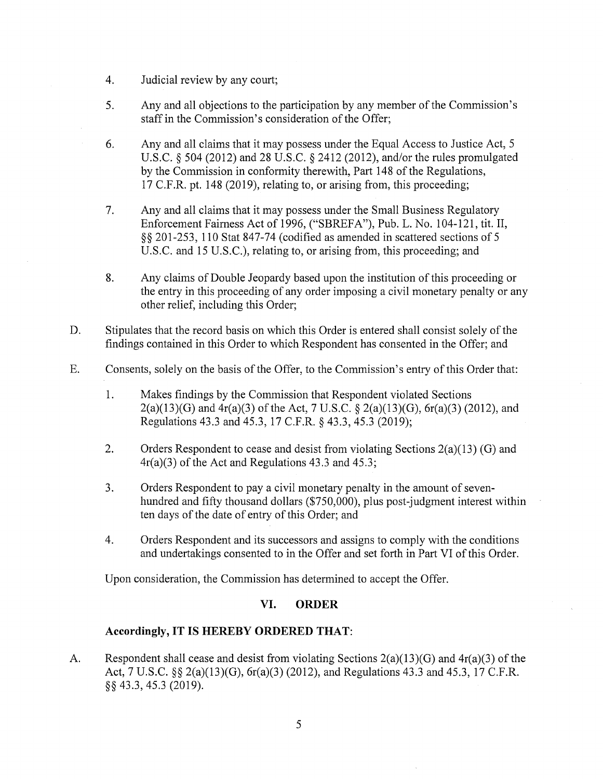- 4. Judicial review by any court;
- 5. Any and all objections to the participation by any member of the Commission's staff in the Commission's consideration of the Offer;
- 6. Any and all claims that it may possess under the Equal Access to Justice Act, 5 U.S.C. § 504 (2012) and 28 U.S.C. § 2412 (2012), and/or the rules promulgated by the Commission in conformity therewith, Part 148 of the Regulations, 17 C.F.R. pt. 148 (2019), relating to, or arising from, this proceeding;
- 7. Any and all claims that it may possess under the Small Business Regulatory Enforcement Fairness Act of 1996, ("SBREF A"), Pub. L. No. 104-121, tit. II, §§ 201-253, 110 Stat 847-74 (codified as amended in scattered sections of 5 U.S.C. and 15 U.S.C.), relating to, or arising from, this proceeding; and
- 8. Any claims of Double Jeopardy based upon the institution of this proceeding or the entry in this proceeding of any order imposing a civil monetary penalty or any other relief, including this Order;
- D. Stipulates that the record basis on which this Order is entered shall consist solely of the findings contained in this Order to which Respondent has consented in the Offer; and
- E. Consents, solely on the basis of the Offer, to the Commission's entry of this Order that:
	- 1. Makes findings by the Commission that Respondent violated Sections 2(a)(13)(G) and  $4r(a)(3)$  of the Act, 7 U.S.C. § 2(a)(13)(G), 6r(a)(3) (2012), and Regulations 43.3 and 45.3, 17 C.F.R. § 43.3, 45.3 (2019);
	- 2. Orders Respondent to cease and desist from violating Sections 2(a)(13) (G) and 4r(a)(3) of the Act and Regulations 43.3 and 45.3;
	- 3. Orders Respondent to pay a civil monetary penalty in the amount of sevenhundred and fifty thousand dollars (\$750,000), plus post-judgment interest within ten days of the date of entry of this Order; and
	- 4. Orders Respondent and its successors and assigns to comply with the conditions and undertakings consented to in the Offer and set forth in Part VI of this Order.

Upon consideration, the Commission has determined to accept the Offer.

## **VI. ORDER**

## **Accordingly, IT IS HEREBY ORDERED THAT:**

A. Respondent shall cease and desist from violating Sections 2(a)(13)(G) and 4r(a)(3) of the Act, 7 U.S.C. §§ 2(a)(13)(G), 6r(a)(3) (2012), and Regulations 43.3 and 45.3, 17 C.F.R. §§ 43.3, 45.3 (2019).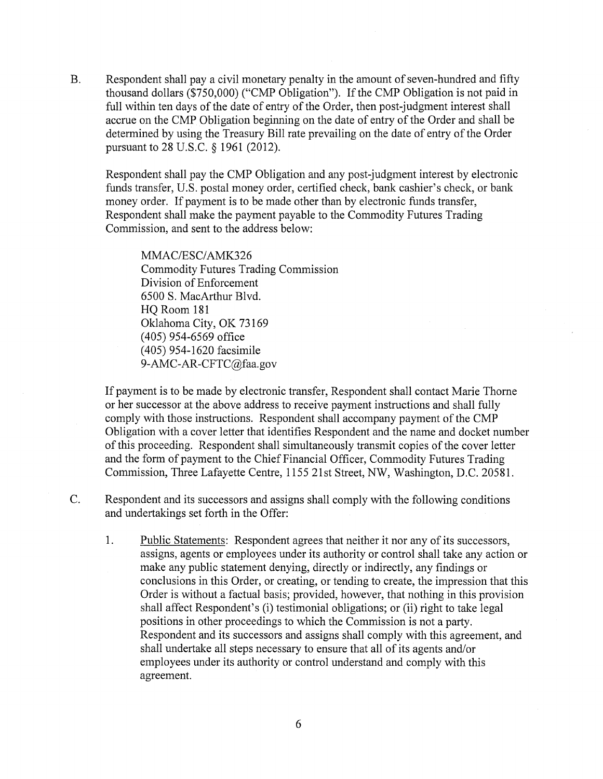B. Respondent shall pay a civil monetary penalty in the amount of seven-hundred and fifty thousand dollars (\$750,000) ("CMP Obligation"). If the CMP Obligation is not paid in full within ten days of the date of entry of the Order, then post-judgment interest shall accrue on the CMP Obligation beginning on the date of entry of the Order and shall be determined by using the Treasury Bill rate prevailing on the date of entry of the Order pursuant to 28 U.S.C. § 1961 (2012).

Respondent shall pay the CMP Obligation and any post-judgment interest by electronic funds transfer, U.S. postal money order, certified check, bank cashier's check, or bank money order. If payment is to be made other than by electronic funds transfer, Respondent shall make the payment payable to the Commodity Futures Trading Commission, and sent to the address below:

MMAC/ESC/AMK326 Commodity Futures Trading Commission Division of Enforcement 6500 S. MacArthur Blvd. HQ Room 181 Oklahoma City, OK 73169 ( 405) 954-6569 office (405) 954-1620 facsimile 9-AMC-AR-CFTC@faa.gov

If payment is to be made by electronic transfer, Respondent shall contact Marie Thome or her successor at the above address to receive payment instructions and shall fully comply with those instructions. Respondent shall accompany payment of the CMP Obligation with a cover letter that identifies Respondent and the name and docket number of this proceeding. Respondent shall simultaneously transmit copies of the cover letter and the form of payment to the Chief Financial Officer, Commodity Futures Trading Commission, Three Lafayette Centre, 1155 21st Street, NW, Washington, D.C. 20581.

- C. Respondent and its successors and assigns shall comply with the following conditions and undertakings set forth in the Offer:
	- 1. Public Statements: Respondent agrees that neither it nor any of its successors, assigns, agents or employees under its authority or control shall take any action or make any public statement denying, directly or indirectly, any findings or conclusions in this Order, or creating, or tending to create, the impression that this Order is without a factual basis; provided, however, that nothing in this provision shall affect Respondent's (i) testimonial obligations; or (ii) right to take legal positions in other proceedings to which the Commission is not a party. Respondent and its successors and assigns shall comply with this agreement, and shall undertake all steps necessary to ensure that all of its agents and/or employees under its authority or control understand and comply with this agreement.